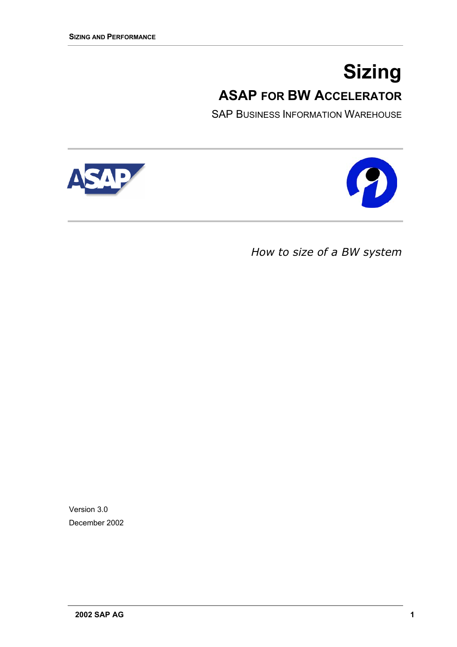# **Sizing ASAP FOR BW ACCELERATOR**

SAP BUSINESS INFORMATION WAREHOUSE

<span id="page-0-0"></span>



*How to size of a BW system*

Version 3.0 December 2002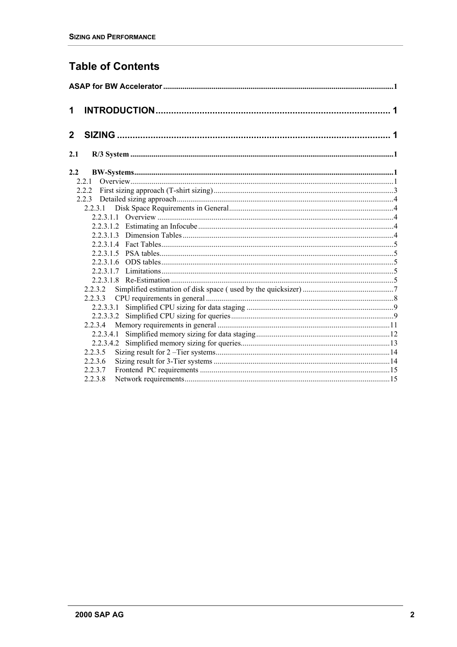### **Table of Contents**

| 1              |  |
|----------------|--|
| $\overline{2}$ |  |
| 2.1            |  |
| $2.2\,$        |  |
| 2.2.1          |  |
|                |  |
|                |  |
|                |  |
|                |  |
|                |  |
|                |  |
|                |  |
|                |  |
|                |  |
|                |  |
|                |  |
| 2.2.3.2        |  |
|                |  |
|                |  |
|                |  |
| 2.2.3.4        |  |
| 2.2.3.4.1      |  |
|                |  |
| 2.2.3.5        |  |
| 2.2.3.6        |  |
| 2.2.3.7        |  |
| 2.2.3.8        |  |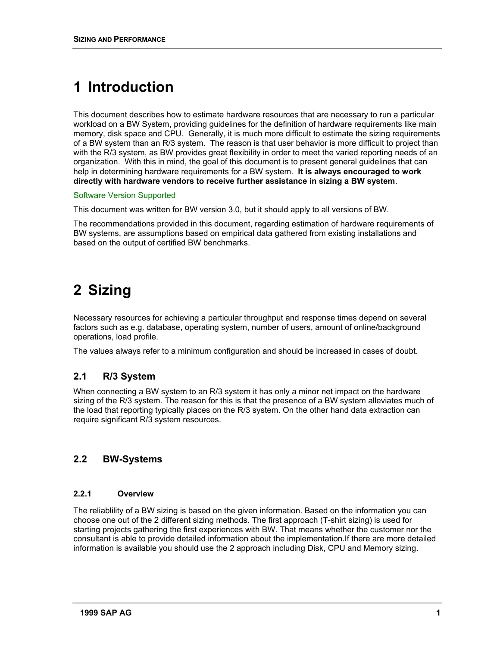## <span id="page-2-0"></span>**1 Introduction**

This document describes how to estimate hardware resources that are necessary to run a particular workload on a BW System, providing guidelines for the definition of hardware requirements like main memory, disk space and CPU. Generally, it is much more difficult to estimate the sizing requirements of a BW system than an R/3 system. The reason is that user behavior is more difficult to project than with the R/3 system, as BW provides great flexibility in order to meet the varied reporting needs of an organization. With this in mind, the goal of this document is to present general guidelines that can help in determining hardware requirements for a BW system. **It is always encouraged to work directly with hardware vendors to receive further assistance in sizing a BW system**.

#### Software Version Supported

This document was written for BW version 3.0, but it should apply to all versions of BW.

The recommendations provided in this document, regarding estimation of hardware requirements of BW systems, are assumptions based on empirical data gathered from existing installations and based on the output of certified BW benchmarks.

## **2 Sizing**

Necessary resources for achieving a particular throughput and response times depend on several factors such as e.g. database, operating system, number of users, amount of online/background operations, load profile.

The values always refer to a minimum configuration and should be increased in cases of doubt.

#### **2.1 R/3 System**

When connecting a BW system to an R/3 system it has only a minor net impact on the hardware sizing of the R/3 system. The reason for this is that the presence of a BW system alleviates much of the load that reporting typically places on the R/3 system. On the other hand data extraction can require significant R/3 system resources.

#### **2.2 BW-Systems**

#### **2.2.1 Overview**

The reliablility of a BW sizing is based on the given information. Based on the information you can choose one out of the 2 different sizing methods. The first approach (T-shirt sizing) is used for starting projects gathering the first experiences with BW. That means whether the customer nor the consultant is able to provide detailed information about the implementation.If there are more detailed information is available you should use the 2 approach including Disk, CPU and Memory sizing.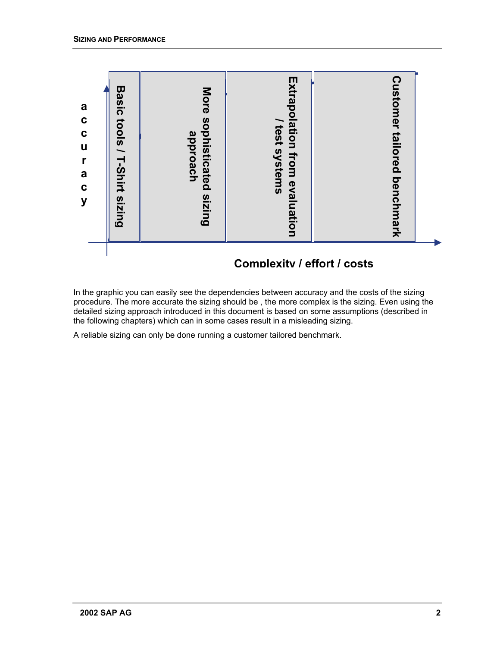

### **Complexity / effort / costs**

In the graphic you can easily see the dependencies between accuracy and the costs of the sizing procedure. The more accurate the sizing should be , the more complex is the sizing. Even using the detailed sizing approach introduced in this document is based on some assumptions (described in the following chapters) which can in some cases result in a misleading sizing.

A reliable sizing can only be done running a customer tailored benchmark.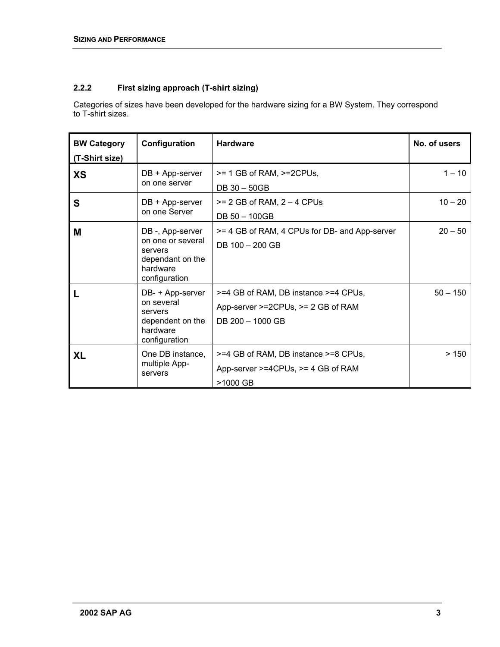#### <span id="page-4-0"></span>**2.2.2 First sizing approach (T-shirt sizing)**

Categories of sizes have been developed for the hardware sizing for a BW System. They correspond to T-shirt sizes.

| <b>BW Category</b><br>(T-Shirt size) | Configuration                                                                                    | <b>Hardware</b>                                                                                | No. of users |
|--------------------------------------|--------------------------------------------------------------------------------------------------|------------------------------------------------------------------------------------------------|--------------|
| <b>XS</b>                            | DB + App-server<br>on one server                                                                 | $>= 1$ GB of RAM, $>= 2$ CPUs,<br>DB 30 - 50GB                                                 | $1 - 10$     |
| S                                    | DB + App-server<br>on one Server                                                                 | $>= 2$ GB of RAM, $2 - 4$ CPUs<br>DB 50 - 100GB                                                | $10 - 20$    |
| M                                    | DB-, App-server<br>on one or several<br>servers<br>dependant on the<br>hardware<br>configuration | >= 4 GB of RAM, 4 CPUs for DB- and App-server<br>DB 100 - 200 GB                               | $20 - 50$    |
|                                      | DB- + App-server<br>on several<br>servers<br>dependent on the<br>hardware<br>configuration       | >=4 GB of RAM, DB instance >=4 CPUs,<br>App-server >=2CPUs, >= 2 GB of RAM<br>DB 200 - 1000 GB | $50 - 150$   |
| <b>XL</b>                            | One DB instance,<br>multiple App-<br>servers                                                     | >=4 GB of RAM, DB instance >=8 CPUs,<br>App-server $>=$ 4CPUs, $>=$ 4 GB of RAM<br>>1000 GB    | >150         |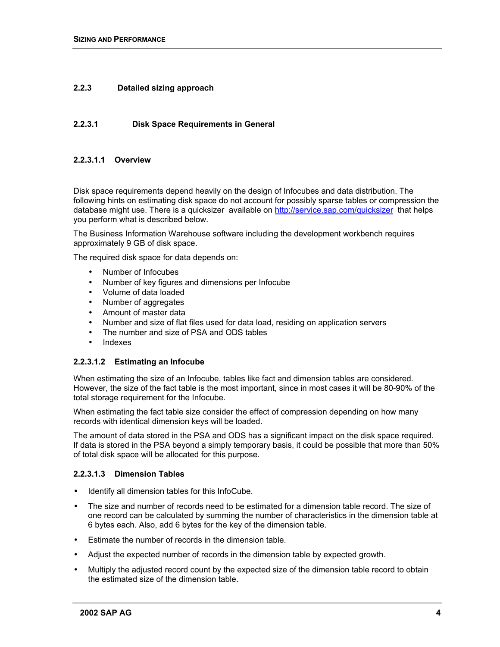#### <span id="page-5-0"></span>**2.2.3 Detailed sizing approach**

#### **2.2.3.1 Disk Space Requirements in General**

#### **2.2.3.1.1 Overview**

Disk space requirements depend heavily on the design of Infocubes and data distribution. The following hints on estimating disk space do not account for possibly sparse tables or compression the database might use. There is a quicksizer available on <http://service.sap.com/quicksizer>that helps you perform what is described below.

The Business Information Warehouse software including the development workbench requires approximately 9 GB of disk space.

The required disk space for data depends on:

- Number of Infocubes
- Number of key figures and dimensions per Infocube
- Volume of data loaded
- Number of aggregates
- Amount of master data
- Number and size of flat files used for data load, residing on application servers
- The number and size of PSA and ODS tables
- **Indexes**

#### **2.2.3.1.2 Estimating an Infocube**

When estimating the size of an Infocube, tables like fact and dimension tables are considered. However, the size of the fact table is the most important, since in most cases it will be 80-90% of the total storage requirement for the Infocube.

When estimating the fact table size consider the effect of compression depending on how many records with identical dimension keys will be loaded.

The amount of data stored in the PSA and ODS has a significant impact on the disk space required. If data is stored in the PSA beyond a simply temporary basis, it could be possible that more than 50% of total disk space will be allocated for this purpose.

#### **2.2.3.1.3 Dimension Tables**

- Identify all dimension tables for this InfoCube.
- The size and number of records need to be estimated for a dimension table record. The size of one record can be calculated by summing the number of characteristics in the dimension table at 6 bytes each. Also, add 6 bytes for the key of the dimension table.
- Estimate the number of records in the dimension table.
- Adjust the expected number of records in the dimension table by expected growth.
- Multiply the adjusted record count by the expected size of the dimension table record to obtain the estimated size of the dimension table.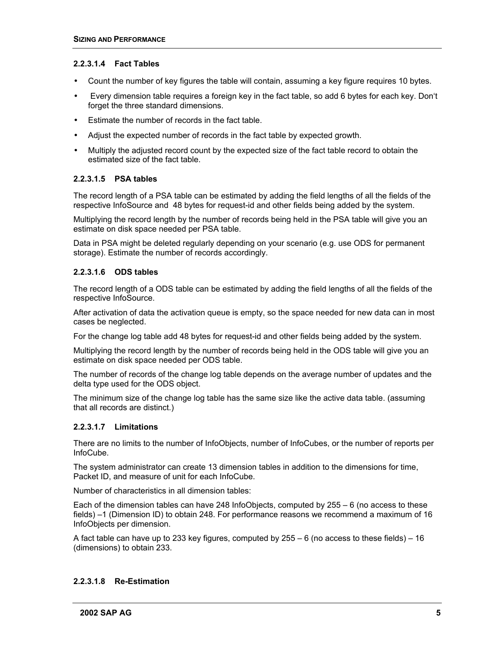#### <span id="page-6-0"></span>**2.2.3.1.4 Fact Tables**

- Count the number of key figures the table will contain, assuming a key figure requires 10 bytes.
- Every dimension table requires a foreign key in the fact table, so add 6 bytes for each key. Don't forget the three standard dimensions.
- Estimate the number of records in the fact table.
- Adjust the expected number of records in the fact table by expected growth.
- Multiply the adjusted record count by the expected size of the fact table record to obtain the estimated size of the fact table.

#### **2.2.3.1.5 PSA tables**

The record length of a PSA table can be estimated by adding the field lengths of all the fields of the respective InfoSource and 48 bytes for request-id and other fields being added by the system.

Multiplying the record length by the number of records being held in the PSA table will give you an estimate on disk space needed per PSA table.

Data in PSA might be deleted regularly depending on your scenario (e.g. use ODS for permanent storage). Estimate the number of records accordingly.

#### **2.2.3.1.6 ODS tables**

The record length of a ODS table can be estimated by adding the field lengths of all the fields of the respective InfoSource.

After activation of data the activation queue is empty, so the space needed for new data can in most cases be neglected.

For the change log table add 48 bytes for request-id and other fields being added by the system.

Multiplying the record length by the number of records being held in the ODS table will give you an estimate on disk space needed per ODS table.

The number of records of the change log table depends on the average number of updates and the delta type used for the ODS object.

The minimum size of the change log table has the same size like the active data table. (assuming that all records are distinct.)

#### **2.2.3.1.7 Limitations**

There are no limits to the number of InfoObjects, number of InfoCubes, or the number of reports per InfoCube.

The system administrator can create 13 dimension tables in addition to the dimensions for time, Packet ID, and measure of unit for each InfoCube.

Number of characteristics in all dimension tables:

Each of the dimension tables can have 248 InfoObjects, computed by 255 – 6 (no access to these fields) –1 (Dimension ID) to obtain 248. For performance reasons we recommend a maximum of 16 InfoObjects per dimension.

A fact table can have up to 233 key figures, computed by  $255 - 6$  (no access to these fields) – 16 (dimensions) to obtain 233.

#### **2.2.3.1.8 Re-Estimation**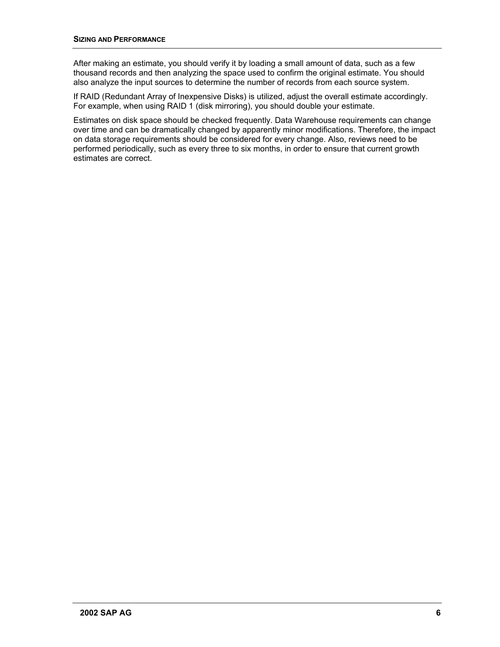After making an estimate, you should verify it by loading a small amount of data, such as a few thousand records and then analyzing the space used to confirm the original estimate. You should also analyze the input sources to determine the number of records from each source system.

If RAID (Redundant Array of Inexpensive Disks) is utilized, adjust the overall estimate accordingly. For example, when using RAID 1 (disk mirroring), you should double your estimate.

Estimates on disk space should be checked frequently. Data Warehouse requirements can change over time and can be dramatically changed by apparently minor modifications. Therefore, the impact on data storage requirements should be considered for every change. Also, reviews need to be performed periodically, such as every three to six months, in order to ensure that current growth estimates are correct.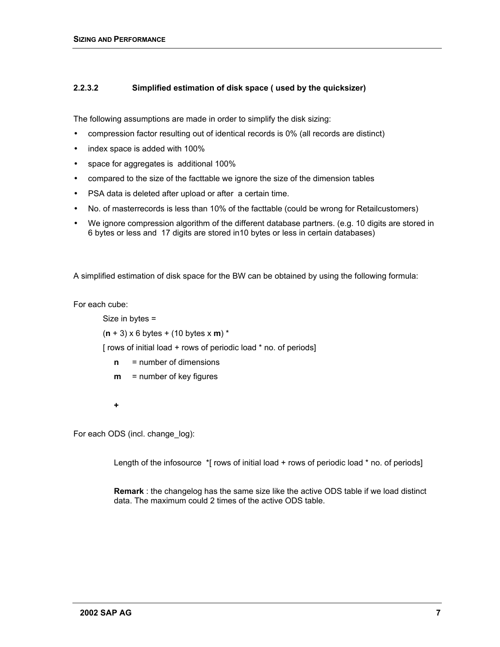#### <span id="page-8-0"></span>**2.2.3.2 Simplified estimation of disk space ( used by the quicksizer)**

The following assumptions are made in order to simplify the disk sizing:

- compression factor resulting out of identical records is 0% (all records are distinct)
- index space is added with 100%
- space for aggregates is additional 100%
- compared to the size of the facttable we ignore the size of the dimension tables
- PSA data is deleted after upload or after a certain time.
- No. of masterrecords is less than 10% of the facttable (could be wrong for Retailcustomers)
- We ignore compression algorithm of the different database partners. (e.g. 10 digits are stored in 6 bytes or less and 17 digits are stored in10 bytes or less in certain databases)

A simplified estimation of disk space for the BW can be obtained by using the following formula:

For each cube:

```
Size in bytes =
```
(**n** + 3) x 6 bytes + (10 bytes x **m**) \*

[ rows of initial load + rows of periodic load \* no. of periods]

- **n** = number of dimensions
- **m** = number of key figures
- **+**

For each ODS (incl. change\_log):

Length of the infosource \*[ rows of initial load + rows of periodic load \* no. of periods]

**Remark** : the changelog has the same size like the active ODS table if we load distinct data. The maximum could 2 times of the active ODS table.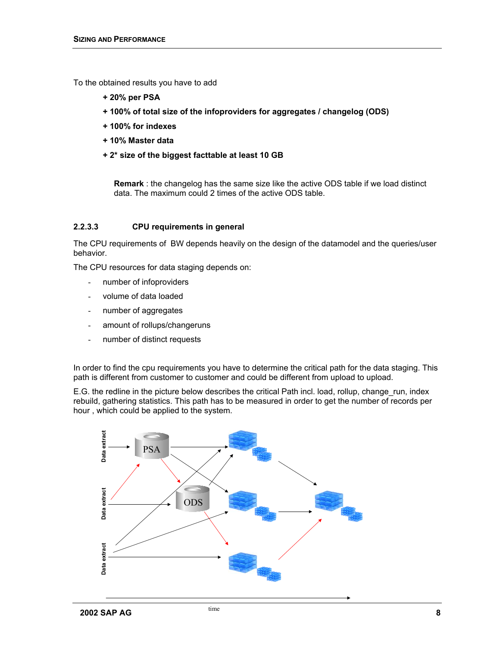<span id="page-9-0"></span>To the obtained results you have to add

- **+ 20% per PSA**
- **+ 100% of total size of the infoproviders for aggregates / changelog (ODS)**
- **+ 100% for indexes**
- **+ 10% Master data**
- **+ 2\* size of the biggest facttable at least 10 GB**

**Remark** : the changelog has the same size like the active ODS table if we load distinct data. The maximum could 2 times of the active ODS table.

#### **2.2.3.3 CPU requirements in general**

The CPU requirements of BW depends heavily on the design of the datamodel and the queries/user behavior.

The CPU resources for data staging depends on:

- number of infoproviders
- volume of data loaded
- number of aggregates
- amount of rollups/changeruns
- number of distinct requests

In order to find the cpu requirements you have to determine the critical path for the data staging. This path is different from customer to customer and could be different from upload to upload.

E.G. the redline in the picture below describes the critical Path incl. load, rollup, change run, index rebuild, gathering statistics. This path has to be measured in order to get the number of records per hour , which could be applied to the system.

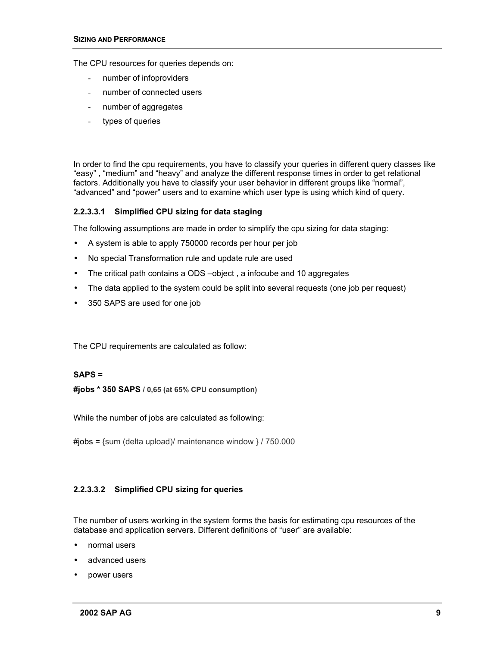<span id="page-10-0"></span>The CPU resources for queries depends on:

- number of infoproviders
- number of connected users
- number of aggregates
- types of queries

In order to find the cpu requirements, you have to classify your queries in different query classes like "easy" , "medium" and "heavy" and analyze the different response times in order to get relational factors. Additionally you have to classify your user behavior in different groups like "normal", "advanced" and "power" users and to examine which user type is using which kind of query.

#### **2.2.3.3.1 Simplified CPU sizing for data staging**

The following assumptions are made in order to simplify the cpu sizing for data staging:

- A system is able to apply 750000 records per hour per job
- No special Transformation rule and update rule are used
- The critical path contains a ODS –object , a infocube and 10 aggregates
- The data applied to the system could be split into several requests (one job per request)
- 350 SAPS are used for one job

The CPU requirements are calculated as follow:

#### **SAPS =**

**#jobs \* 350 SAPS / 0,65 (at 65% CPU consumption)**

While the number of jobs are calculated as following:

 $\#jobs = \{sum (delta upload)/ maintenance window \} / 750.000$ 

#### **2.2.3.3.2 Simplified CPU sizing for queries**

The number of users working in the system forms the basis for estimating cpu resources of the database and application servers. Different definitions of "user" are available:

- normal users
- advanced users
- power users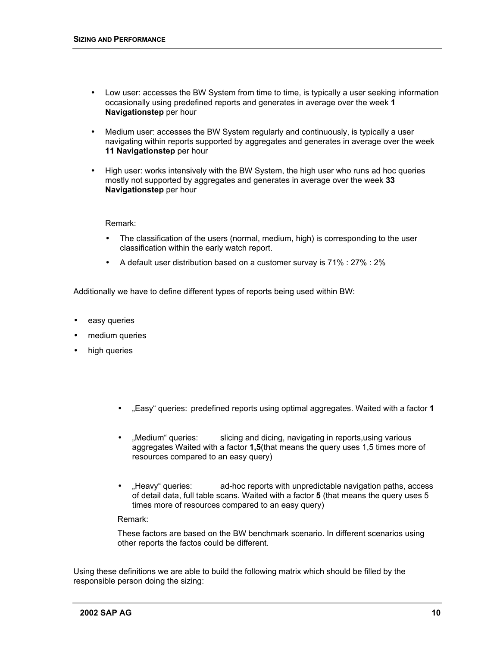- Low user: accesses the BW System from time to time, is typically a user seeking information occasionally using predefined reports and generates in average over the week **1 Navigationstep** per hour
- Medium user: accesses the BW System regularly and continuously, is typically a user navigating within reports supported by aggregates and generates in average over the week **11 Navigationstep** per hour
- High user: works intensively with the BW System, the high user who runs ad hoc queries mostly not supported by aggregates and generates in average over the week **33 Navigationstep** per hour

Remark:

- The classification of the users (normal, medium, high) is corresponding to the user classification within the early watch report.
- A default user distribution based on a customer survay is 71% : 27% : 2%

Additionally we have to define different types of reports being used within BW:

- easy queries
- medium queries
- high queries
	- "Easy" queries: predefined reports using optimal aggregates. Waited with a factor **1**
	- "Medium" queries: slicing and dicing, navigating in reports, using various aggregates Waited with a factor **1,5**(that means the query uses 1,5 times more of resources compared to an easy query)
	- "Heavy" queries: ad-hoc reports with unpredictable navigation paths, access of detail data, full table scans. Waited with a factor **5** (that means the query uses 5 times more of resources compared to an easy query)

Remark:

These factors are based on the BW benchmark scenario. In different scenarios using other reports the factos could be different.

Using these definitions we are able to build the following matrix which should be filled by the responsible person doing the sizing: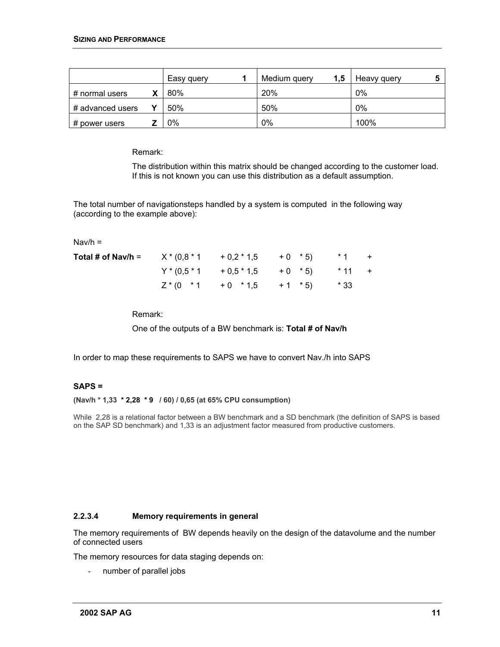|                  | Easy query | Medium query | 1,5 | Heavy query |  |
|------------------|------------|--------------|-----|-------------|--|
| # normal users   | 80%        | 20%          |     | 0%          |  |
| # advanced users | 50%        | 50%          |     | 0%          |  |
| # power users    | 0%         | 0%           |     | 100%        |  |

Remark:

The distribution within this matrix should be changed according to the customer load. If this is not known you can use this distribution as a default assumption.

The total number of navigationsteps handled by a system is computed in the following way (according to the example above):

Nav/h =

| <b>Total # of Nav/h =</b> $X*(0.8*1 + 0.2*1.5 + 0 * 5)$ |                                        | $*1$ + |  |
|---------------------------------------------------------|----------------------------------------|--------|--|
|                                                         | $Y^*(0.5^*1 + 0.5^*1.5 + 0.^*5)$ *11 + |        |  |
|                                                         | $Z^*(0$ *1 +0 *1,5 +1 *5) *33          |        |  |

Remark:

One of the outputs of a BW benchmark is: **Total # of Nav/h**

In order to map these requirements to SAPS we have to convert Nav./h into SAPS

#### **SAPS =**

**(Nav/h \* 1,33 \* 2,28 \* 9 / 60) / 0,65 (at 65% CPU consumption)**

While 2,28 is a relational factor between a BW benchmark and a SD benchmark (the definition of SAPS is based on the SAP SD benchmark) and 1,33 is an adjustment factor measured from productive customers.

#### **2.2.3.4 Memory requirements in general**

The memory requirements of BW depends heavily on the design of the datavolume and the number of connected users

The memory resources for data staging depends on:

number of parallel jobs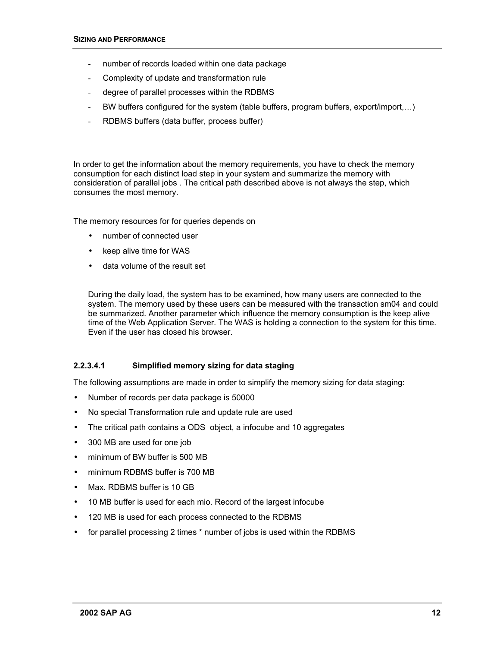- <span id="page-13-0"></span>number of records loaded within one data package
- Complexity of update and transformation rule
- degree of parallel processes within the RDBMS
- BW buffers configured for the system (table buffers, program buffers, export/import,…)
- RDBMS buffers (data buffer, process buffer)

In order to get the information about the memory requirements, you have to check the memory consumption for each distinct load step in your system and summarize the memory with consideration of parallel jobs . The critical path described above is not always the step, which consumes the most memory.

The memory resources for for queries depends on

- number of connected user
- keep alive time for WAS
- data volume of the result set

During the daily load, the system has to be examined, how many users are connected to the system. The memory used by these users can be measured with the transaction sm04 and could be summarized. Another parameter which influence the memory consumption is the keep alive time of the Web Application Server. The WAS is holding a connection to the system for this time. Even if the user has closed his browser.

#### **2.2.3.4.1 Simplified memory sizing for data staging**

The following assumptions are made in order to simplify the memory sizing for data staging:

- Number of records per data package is 50000
- No special Transformation rule and update rule are used
- The critical path contains a ODS object, a infocube and 10 aggregates
- 300 MB are used for one job
- minimum of BW buffer is 500 MB
- minimum RDBMS buffer is 700 MB
- Max. RDBMS buffer is 10 GB
- 10 MB buffer is used for each mio. Record of the largest infocube
- 120 MB is used for each process connected to the RDBMS
- for parallel processing 2 times \* number of jobs is used within the RDBMS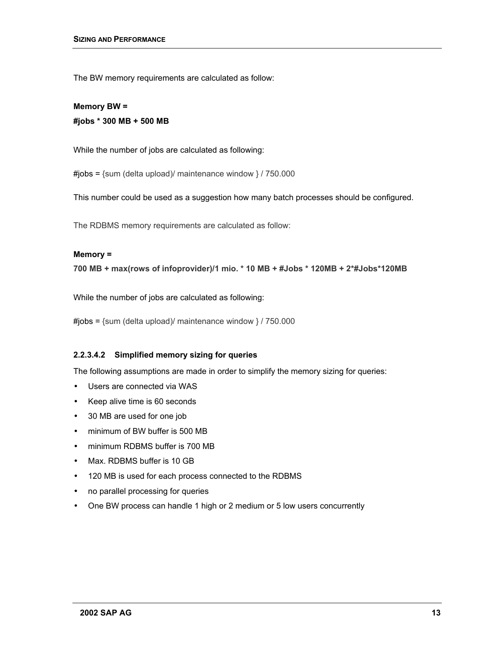<span id="page-14-0"></span>The BW memory requirements are calculated as follow:

**Memory BW = #jobs \* 300 MB + 500 MB** 

While the number of jobs are calculated as following:

 $\#jobs = \{sum (delta upload)/ maintenance window\} / 750.000$ 

This number could be used as a suggestion how many batch processes should be configured.

The RDBMS memory requirements are calculated as follow:

#### **Memory =**

**700 MB + max(rows of infoprovider)/1 mio. \* 10 MB + #Jobs \* 120MB + 2\*#Jobs\*120MB**

While the number of jobs are calculated as following:

 $\#jobs = \{sum (delta upload)/ maintenance window\} / 750.000$ 

#### **2.2.3.4.2 Simplified memory sizing for queries**

The following assumptions are made in order to simplify the memory sizing for queries:

- Users are connected via WAS
- Keep alive time is 60 seconds
- 30 MB are used for one job
- minimum of BW buffer is 500 MB
- minimum RDBMS buffer is 700 MB
- Max. RDBMS buffer is 10 GB
- 120 MB is used for each process connected to the RDBMS
- no parallel processing for queries
- One BW process can handle 1 high or 2 medium or 5 low users concurrently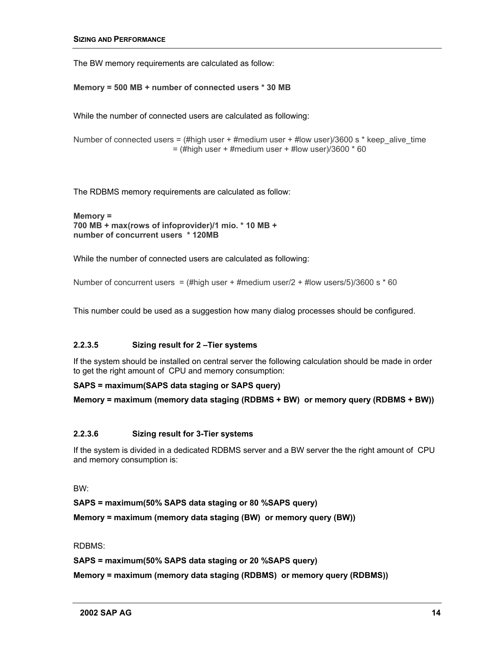The BW memory requirements are calculated as follow:

**Memory = 500 MB + number of connected users \* 30 MB**

While the number of connected users are calculated as following:

Number of connected users = (#high user + #medium user + #low user)/3600 s \* keep alive time  $=$  (#high user + #medium user + #low user)/3600  $*$  60

The RDBMS memory requirements are calculated as follow:

```
Memory = 
700 MB + max(rows of infoprovider)/1 mio. * 10 MB + 
number of concurrent users * 120MB
```
While the number of connected users are calculated as following:

Number of concurrent users = (#high user + #medium user/2 + #low users/5)/3600 s  $*$  60

This number could be used as a suggestion how many dialog processes should be configured.

#### **2.2.3.5 Sizing result for 2 –Tier systems**

If the system should be installed on central server the following calculation should be made in order to get the right amount of CPU and memory consumption:

#### **SAPS = maximum(SAPS data staging or SAPS query)**

```
Memory = maximum (memory data staging (RDBMS + BW) or memory query (RDBMS + BW))
```
#### **2.2.3.6 Sizing result for 3-Tier systems**

If the system is divided in a dedicated RDBMS server and a BW server the the right amount of CPU and memory consumption is:

BW:

**SAPS = maximum(50% SAPS data staging or 80 %SAPS query)** 

**Memory = maximum (memory data staging (BW) or memory query (BW))** 

#### RDBMS:

#### **SAPS = maximum(50% SAPS data staging or 20 %SAPS query)**

**Memory = maximum (memory data staging (RDBMS) or memory query (RDBMS))**